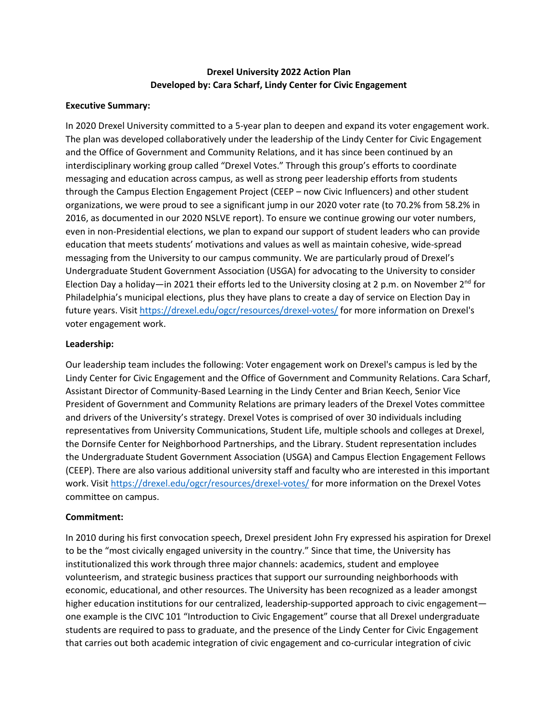# **Drexel University 2022 Action Plan Developed by: Cara Scharf, Lindy Center for Civic Engagement**

### **Executive Summary:**

In 2020 Drexel University committed to a 5-year plan to deepen and expand its voter engagement work. The plan was developed collaboratively under the leadership of the Lindy Center for Civic Engagement and the Office of Government and Community Relations, and it has since been continued by an interdisciplinary working group called "Drexel Votes." Through this group's efforts to coordinate messaging and education across campus, as well as strong peer leadership efforts from students through the Campus Election Engagement Project (CEEP – now Civic Influencers) and other student organizations, we were proud to see a significant jump in our 2020 voter rate (to 70.2% from 58.2% in 2016, as documented in our 2020 NSLVE report). To ensure we continue growing our voter numbers, even in non-Presidential elections, we plan to expand our support of student leaders who can provide education that meets students' motivations and values as well as maintain cohesive, wide-spread messaging from the University to our campus community. We are particularly proud of Drexel's Undergraduate Student Government Association (USGA) for advocating to the University to consider Election Day a holiday—in 2021 their efforts led to the University closing at 2 p.m. on November 2<sup>nd</sup> for Philadelphia's municipal elections, plus they have plans to create a day of service on Election Day in future years. Visit<https://drexel.edu/ogcr/resources/drexel-votes/> for more information on Drexel's voter engagement work.

### **Leadership:**

Our leadership team includes the following: Voter engagement work on Drexel's campus is led by the Lindy Center for Civic Engagement and the Office of Government and Community Relations. Cara Scharf, Assistant Director of Community-Based Learning in the Lindy Center and Brian Keech, Senior Vice President of Government and Community Relations are primary leaders of the Drexel Votes committee and drivers of the University's strategy. Drexel Votes is comprised of over 30 individuals including representatives from University Communications, Student Life, multiple schools and colleges at Drexel, the Dornsife Center for Neighborhood Partnerships, and the Library. Student representation includes the Undergraduate Student Government Association (USGA) and Campus Election Engagement Fellows (CEEP). There are also various additional university staff and faculty who are interested in this important work. Visi[t https://drexel.edu/ogcr/resources/drexel-votes/](https://drexel.edu/ogcr/resources/drexel-votes/) for more information on the Drexel Votes committee on campus.

### **Commitment:**

In 2010 during his first convocation speech, Drexel president John Fry expressed his aspiration for Drexel to be the "most civically engaged university in the country." Since that time, the University has institutionalized this work through three major channels: academics, student and employee volunteerism, and strategic business practices that support our surrounding neighborhoods with economic, educational, and other resources. The University has been recognized as a leader amongst higher education institutions for our centralized, leadership-supported approach to civic engagement one example is the CIVC 101 "Introduction to Civic Engagement" course that all Drexel undergraduate students are required to pass to graduate, and the presence of the Lindy Center for Civic Engagement that carries out both academic integration of civic engagement and co-curricular integration of civic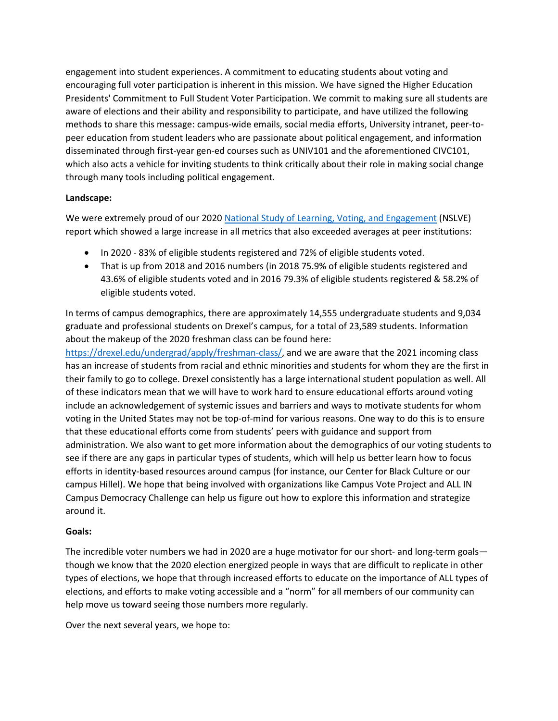engagement into student experiences. A commitment to educating students about voting and encouraging full voter participation is inherent in this mission. We have signed the Higher Education Presidents' Commitment to Full Student Voter Participation. We commit to making sure all students are aware of elections and their ability and responsibility to participate, and have utilized the following methods to share this message: campus-wide emails, social media efforts, University intranet, peer-topeer education from student leaders who are passionate about political engagement, and information disseminated through first-year gen-ed courses such as UNIV101 and the aforementioned CIVC101, which also acts a vehicle for inviting students to think critically about their role in making social change through many tools including political engagement.

# **Landscape:**

We were extremely proud of our 2020 [National Study of Learning, Voting, and Engagement](https://idhe.tufts.edu/nslve) (NSLVE) report which showed a large increase in all metrics that also exceeded averages at peer institutions:

- In 2020 83% of eligible students registered and 72% of eligible students voted.
- That is up from 2018 and 2016 numbers (in 2018 75.9% of eligible students registered and 43.6% of eligible students voted and in 2016 79.3% of eligible students registered & 58.2% of eligible students voted.

In terms of campus demographics, there are approximately 14,555 undergraduate students and 9,034 graduate and professional students on Drexel's campus, for a total of 23,589 students. Information about the makeup of the 2020 freshman class can be found here:

[https://drexel.edu/undergrad/apply/freshman-class/,](https://drexel.edu/undergrad/apply/freshman-class/) and we are aware that the 2021 incoming class has an increase of students from racial and ethnic minorities and students for whom they are the first in their family to go to college. Drexel consistently has a large international student population as well. All of these indicators mean that we will have to work hard to ensure educational efforts around voting include an acknowledgement of systemic issues and barriers and ways to motivate students for whom voting in the United States may not be top-of-mind for various reasons. One way to do this is to ensure that these educational efforts come from students' peers with guidance and support from administration. We also want to get more information about the demographics of our voting students to see if there are any gaps in particular types of students, which will help us better learn how to focus efforts in identity-based resources around campus (for instance, our Center for Black Culture or our campus Hillel). We hope that being involved with organizations like Campus Vote Project and ALL IN Campus Democracy Challenge can help us figure out how to explore this information and strategize around it.

# **Goals:**

The incredible voter numbers we had in 2020 are a huge motivator for our short- and long-term goals though we know that the 2020 election energized people in ways that are difficult to replicate in other types of elections, we hope that through increased efforts to educate on the importance of ALL types of elections, and efforts to make voting accessible and a "norm" for all members of our community can help move us toward seeing those numbers more regularly.

Over the next several years, we hope to: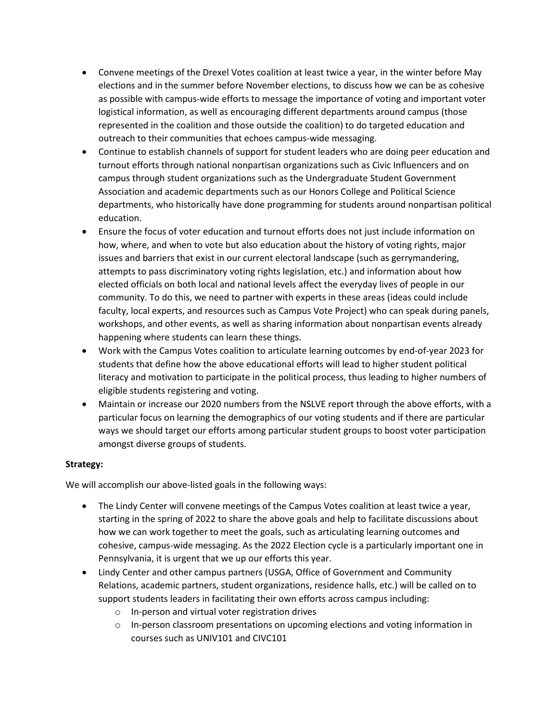- Convene meetings of the Drexel Votes coalition at least twice a year, in the winter before May elections and in the summer before November elections, to discuss how we can be as cohesive as possible with campus-wide efforts to message the importance of voting and important voter logistical information, as well as encouraging different departments around campus (those represented in the coalition and those outside the coalition) to do targeted education and outreach to their communities that echoes campus-wide messaging.
- Continue to establish channels of support for student leaders who are doing peer education and turnout efforts through national nonpartisan organizations such as Civic Influencers and on campus through student organizations such as the Undergraduate Student Government Association and academic departments such as our Honors College and Political Science departments, who historically have done programming for students around nonpartisan political education.
- Ensure the focus of voter education and turnout efforts does not just include information on how, where, and when to vote but also education about the history of voting rights, major issues and barriers that exist in our current electoral landscape (such as gerrymandering, attempts to pass discriminatory voting rights legislation, etc.) and information about how elected officials on both local and national levels affect the everyday lives of people in our community. To do this, we need to partner with experts in these areas (ideas could include faculty, local experts, and resources such as Campus Vote Project) who can speak during panels, workshops, and other events, as well as sharing information about nonpartisan events already happening where students can learn these things.
- Work with the Campus Votes coalition to articulate learning outcomes by end-of-year 2023 for students that define how the above educational efforts will lead to higher student political literacy and motivation to participate in the political process, thus leading to higher numbers of eligible students registering and voting.
- Maintain or increase our 2020 numbers from the NSLVE report through the above efforts, with a particular focus on learning the demographics of our voting students and if there are particular ways we should target our efforts among particular student groups to boost voter participation amongst diverse groups of students.

# **Strategy:**

We will accomplish our above-listed goals in the following ways:

- The Lindy Center will convene meetings of the Campus Votes coalition at least twice a year, starting in the spring of 2022 to share the above goals and help to facilitate discussions about how we can work together to meet the goals, such as articulating learning outcomes and cohesive, campus-wide messaging. As the 2022 Election cycle is a particularly important one in Pennsylvania, it is urgent that we up our efforts this year.
- Lindy Center and other campus partners (USGA, Office of Government and Community Relations, academic partners, student organizations, residence halls, etc.) will be called on to support students leaders in facilitating their own efforts across campus including:
	- o In-person and virtual voter registration drives
	- $\circ$  In-person classroom presentations on upcoming elections and voting information in courses such as UNIV101 and CIVC101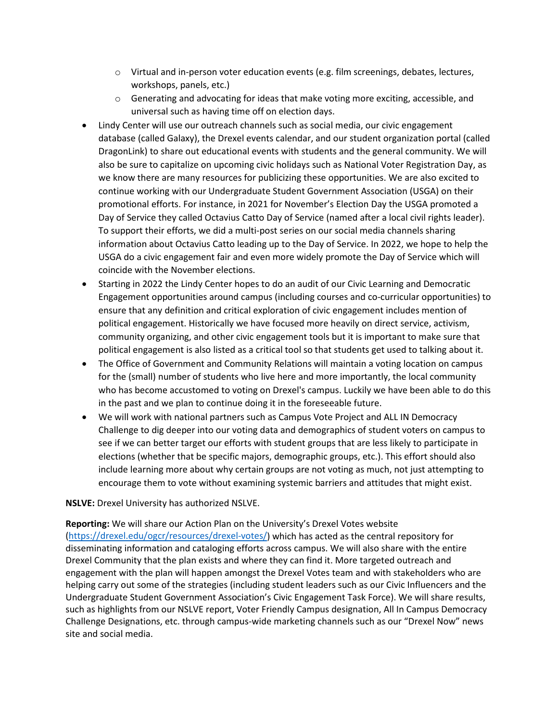- $\circ$  Virtual and in-person voter education events (e.g. film screenings, debates, lectures, workshops, panels, etc.)
- o Generating and advocating for ideas that make voting more exciting, accessible, and universal such as having time off on election days.
- Lindy Center will use our outreach channels such as social media, our civic engagement database (called Galaxy), the Drexel events calendar, and our student organization portal (called DragonLink) to share out educational events with students and the general community. We will also be sure to capitalize on upcoming civic holidays such as National Voter Registration Day, as we know there are many resources for publicizing these opportunities. We are also excited to continue working with our Undergraduate Student Government Association (USGA) on their promotional efforts. For instance, in 2021 for November's Election Day the USGA promoted a Day of Service they called Octavius Catto Day of Service (named after a local civil rights leader). To support their efforts, we did a multi-post series on our social media channels sharing information about Octavius Catto leading up to the Day of Service. In 2022, we hope to help the USGA do a civic engagement fair and even more widely promote the Day of Service which will coincide with the November elections.
- Starting in 2022 the Lindy Center hopes to do an audit of our Civic Learning and Democratic Engagement opportunities around campus (including courses and co-curricular opportunities) to ensure that any definition and critical exploration of civic engagement includes mention of political engagement. Historically we have focused more heavily on direct service, activism, community organizing, and other civic engagement tools but it is important to make sure that political engagement is also listed as a critical tool so that students get used to talking about it.
- The Office of Government and Community Relations will maintain a voting location on campus for the (small) number of students who live here and more importantly, the local community who has become accustomed to voting on Drexel's campus. Luckily we have been able to do this in the past and we plan to continue doing it in the foreseeable future.
- We will work with national partners such as Campus Vote Project and ALL IN Democracy Challenge to dig deeper into our voting data and demographics of student voters on campus to see if we can better target our efforts with student groups that are less likely to participate in elections (whether that be specific majors, demographic groups, etc.). This effort should also include learning more about why certain groups are not voting as much, not just attempting to encourage them to vote without examining systemic barriers and attitudes that might exist.

### **NSLVE:** Drexel University has authorized NSLVE.

**Reporting:** We will share our Action Plan on the University's Drexel Votes website [\(https://drexel.edu/ogcr/resources/drexel-votes/\)](https://drexel.edu/ogcr/resources/drexel-votes/) which has acted as the central repository for disseminating information and cataloging efforts across campus. We will also share with the entire Drexel Community that the plan exists and where they can find it. More targeted outreach and engagement with the plan will happen amongst the Drexel Votes team and with stakeholders who are helping carry out some of the strategies (including student leaders such as our Civic Influencers and the Undergraduate Student Government Association's Civic Engagement Task Force). We will share results, such as highlights from our NSLVE report, Voter Friendly Campus designation, All In Campus Democracy Challenge Designations, etc. through campus-wide marketing channels such as our "Drexel Now" news site and social media.